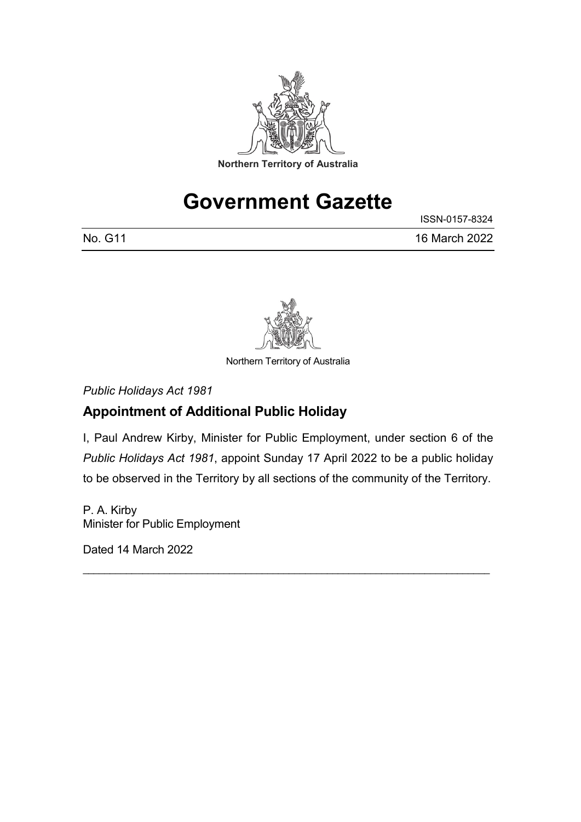

# **Government Gazette**

|         | ISSN-0157-8324 |
|---------|----------------|
| No. G11 | 16 March 2022  |



Northern Territory of Australia

*Public Holidays Act 1981*

## **Appointment of Additional Public Holiday**

I, Paul Andrew Kirby, Minister for Public Employment, under section 6 of the *Public Holidays Act 1981*, appoint Sunday 17 April 2022 to be a public holiday to be observed in the Territory by all sections of the community of the Territory.

\_\_\_\_\_\_\_\_\_\_\_\_\_\_\_\_\_\_\_\_\_\_\_\_\_\_\_\_\_\_\_\_\_\_\_\_\_\_\_\_\_\_\_\_\_\_\_\_\_\_\_\_\_\_\_\_\_\_\_\_\_\_\_\_\_\_\_\_\_\_\_\_\_\_\_

P. A. Kirby Minister for Public Employment

Dated 14 March 2022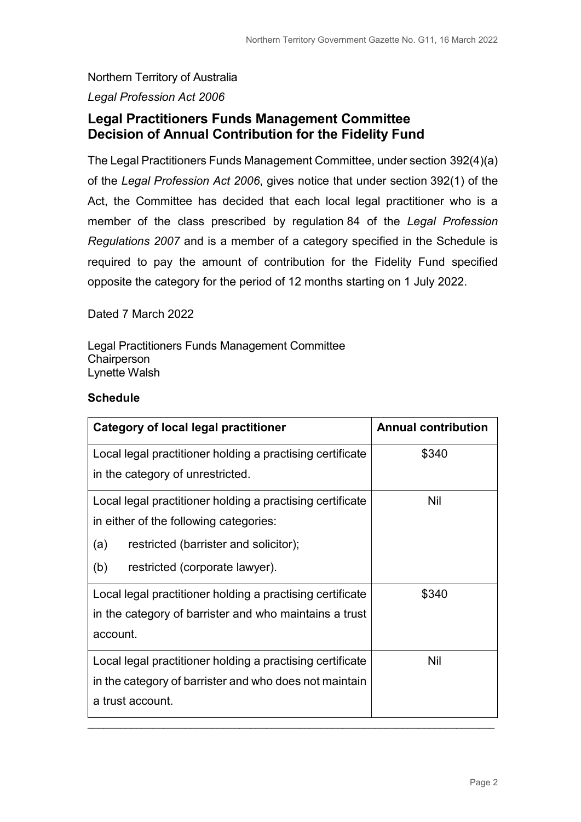# Northern Territory of Australia

### *Legal Profession Act 2006*

## **Legal Practitioners Funds Management Committee Decision of Annual Contribution for the Fidelity Fund**

The Legal Practitioners Funds Management Committee, under section 392(4)(a) of the *Legal Profession Act 2006*, gives notice that under section 392(1) of the Act, the Committee has decided that each local legal practitioner who is a member of the class prescribed by regulation 84 of the *Legal Profession Regulations 2007* and is a member of a category specified in the Schedule is required to pay the amount of contribution for the Fidelity Fund specified opposite the category for the period of 12 months starting on 1 July 2022.

Dated 7 March 2022

Legal Practitioners Funds Management Committee **Chairperson** Lynette Walsh

#### **Schedule**

| <b>Category of local legal practitioner</b>               | <b>Annual contribution</b> |
|-----------------------------------------------------------|----------------------------|
| Local legal practitioner holding a practising certificate | \$340                      |
| in the category of unrestricted.                          |                            |
| Local legal practitioner holding a practising certificate | Nil                        |
| in either of the following categories:                    |                            |
| restricted (barrister and solicitor);<br>(a)              |                            |
| (b)<br>restricted (corporate lawyer).                     |                            |
| Local legal practitioner holding a practising certificate | \$340                      |
| in the category of barrister and who maintains a trust    |                            |
| account.                                                  |                            |
| Local legal practitioner holding a practising certificate | Nil                        |
| in the category of barrister and who does not maintain    |                            |
| a trust account.                                          |                            |
|                                                           |                            |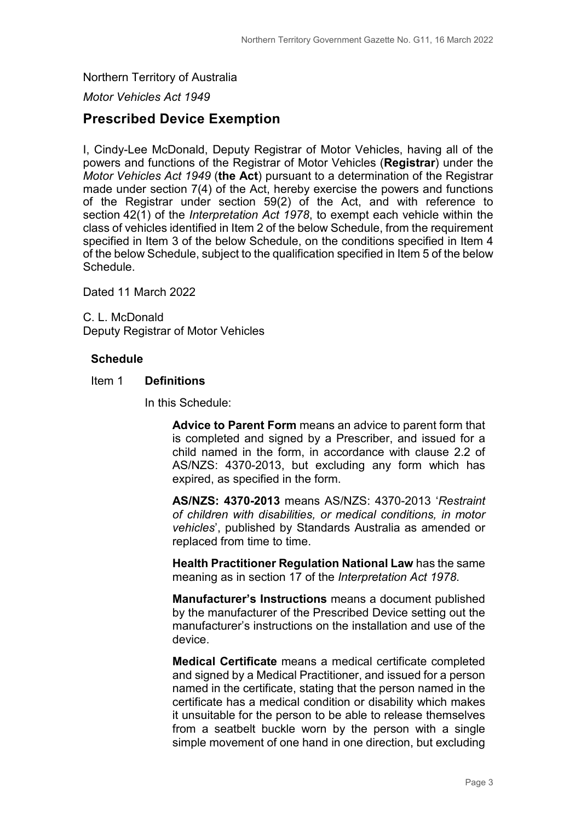#### Northern Territory of Australia

*Motor Vehicles Act 1949*

### **Prescribed Device Exemption**

I, Cindy-Lee McDonald, Deputy Registrar of Motor Vehicles, having all of the powers and functions of the Registrar of Motor Vehicles (**Registrar**) under the *Motor Vehicles Act 1949* (**the Act**) pursuant to a determination of the Registrar made under section 7(4) of the Act, hereby exercise the powers and functions of the Registrar under section 59(2) of the Act, and with reference to section 42(1) of the *Interpretation Act 1978*, to exempt each vehicle within the class of vehicles identified in Item 2 of the below Schedule, from the requirement specified in Item 3 of the below Schedule, on the conditions specified in Item 4 of the below Schedule, subject to the qualification specified in Item 5 of the below Schedule.

Dated 11 March 2022

C. L. McDonald Deputy Registrar of Motor Vehicles

#### **Schedule**

#### Item 1 **Definitions**

In this Schedule:

**Advice to Parent Form** means an advice to parent form that is completed and signed by a Prescriber, and issued for a child named in the form, in accordance with clause 2.2 of AS/NZS: 4370-2013, but excluding any form which has expired, as specified in the form.

**AS/NZS: 4370-2013** means AS/NZS: 4370-2013 '*Restraint of children with disabilities, or medical conditions, in motor vehicles*', published by Standards Australia as amended or replaced from time to time.

**Health Practitioner Regulation National Law** has the same meaning as in section 17 of the *Interpretation Act 1978*.

**Manufacturer's Instructions** means a document published by the manufacturer of the Prescribed Device setting out the manufacturer's instructions on the installation and use of the device.

**Medical Certificate** means a medical certificate completed and signed by a Medical Practitioner, and issued for a person named in the certificate, stating that the person named in the certificate has a medical condition or disability which makes it unsuitable for the person to be able to release themselves from a seatbelt buckle worn by the person with a single simple movement of one hand in one direction, but excluding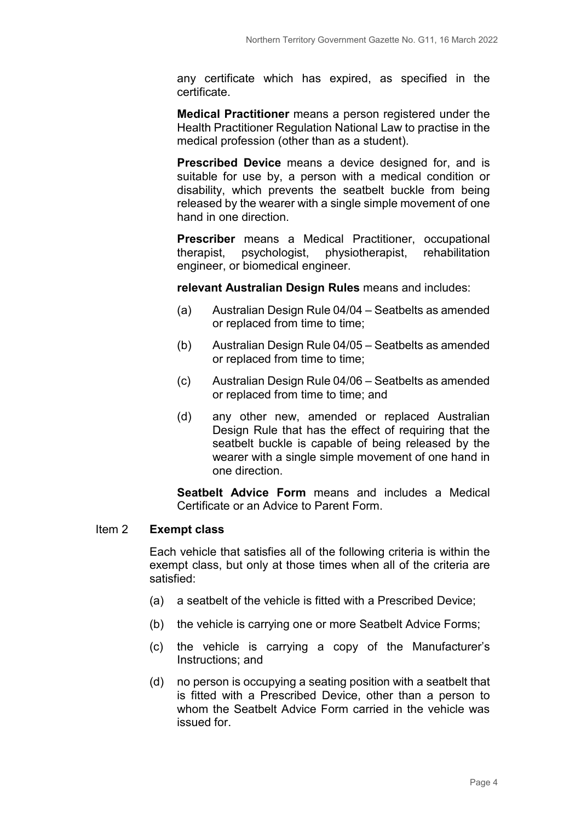any certificate which has expired, as specified in the certificate.

**Medical Practitioner** means a person registered under the Health Practitioner Regulation National Law to practise in the medical profession (other than as a student).

**Prescribed Device** means a device designed for, and is suitable for use by, a person with a medical condition or disability, which prevents the seatbelt buckle from being released by the wearer with a single simple movement of one hand in one direction.

**Prescriber** means a Medical Practitioner, occupational therapist, psychologist, physiotherapist, rehabilitation engineer, or biomedical engineer.

**relevant Australian Design Rules** means and includes:

- (a) Australian Design Rule 04/04 Seatbelts as amended or replaced from time to time;
- (b) Australian Design Rule 04/05 Seatbelts as amended or replaced from time to time;
- (c) Australian Design Rule 04/06 Seatbelts as amended or replaced from time to time; and
- (d) any other new, amended or replaced Australian Design Rule that has the effect of requiring that the seatbelt buckle is capable of being released by the wearer with a single simple movement of one hand in one direction.

**Seatbelt Advice Form** means and includes a Medical Certificate or an Advice to Parent Form.

#### Item 2 **Exempt class**

Each vehicle that satisfies all of the following criteria is within the exempt class, but only at those times when all of the criteria are satisfied:

- (a) a seatbelt of the vehicle is fitted with a Prescribed Device;
- (b) the vehicle is carrying one or more Seatbelt Advice Forms;
- (c) the vehicle is carrying a copy of the Manufacturer's Instructions; and
- (d) no person is occupying a seating position with a seatbelt that is fitted with a Prescribed Device, other than a person to whom the Seatbelt Advice Form carried in the vehicle was issued for.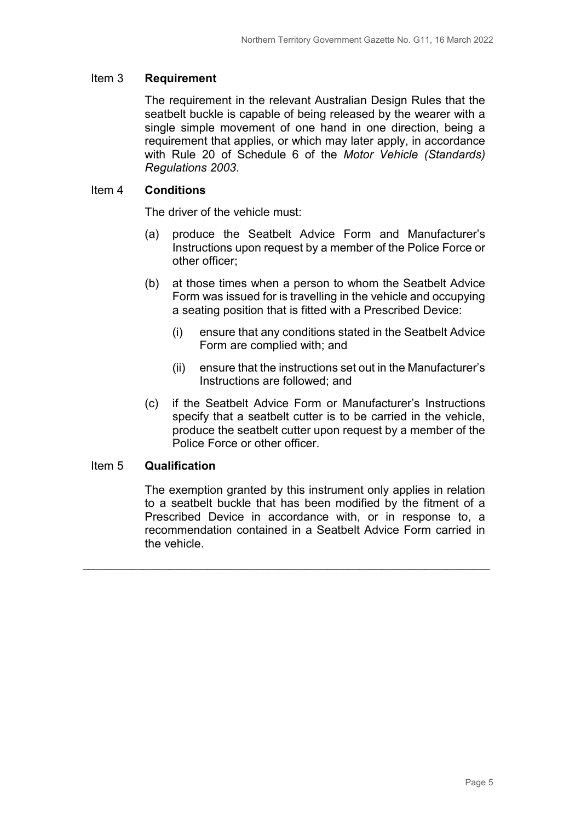#### Item 3 **Requirement**

The requirement in the relevant Australian Design Rules that the seatbelt buckle is capable of being released by the wearer with a single simple movement of one hand in one direction, being a requirement that applies, or which may later apply, in accordance with Rule 20 of Schedule 6 of the *Motor Vehicle (Standards) Regulations 2003*.

#### Item 4 **Conditions**

The driver of the vehicle must:

- (a) produce the Seatbelt Advice Form and Manufacturer's Instructions upon request by a member of the Police Force or other officer;
- (b) at those times when a person to whom the Seatbelt Advice Form was issued for is travelling in the vehicle and occupying a seating position that is fitted with a Prescribed Device:
	- (i) ensure that any conditions stated in the Seatbelt Advice Form are complied with; and
	- (ii) ensure that the instructions set out in the Manufacturer's Instructions are followed; and
- (c) if the Seatbelt Advice Form or Manufacturer's Instructions specify that a seatbelt cutter is to be carried in the vehicle, produce the seatbelt cutter upon request by a member of the Police Force or other officer.

#### Item 5 **Qualification**

The exemption granted by this instrument only applies in relation to a seatbelt buckle that has been modified by the fitment of a Prescribed Device in accordance with, or in response to, a recommendation contained in a Seatbelt Advice Form carried in the vehicle.

\_\_\_\_\_\_\_\_\_\_\_\_\_\_\_\_\_\_\_\_\_\_\_\_\_\_\_\_\_\_\_\_\_\_\_\_\_\_\_\_\_\_\_\_\_\_\_\_\_\_\_\_\_\_\_\_\_\_\_\_\_\_\_\_\_\_\_\_\_\_\_\_\_\_\_